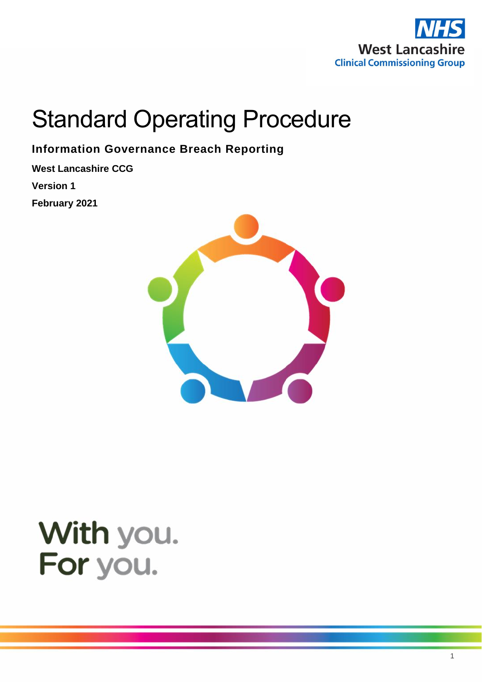

# Standard Operating Procedure

**Information Governance Breach Reporting**

**West Lancashire CCG Version 1 February 2021**



# With you. For you.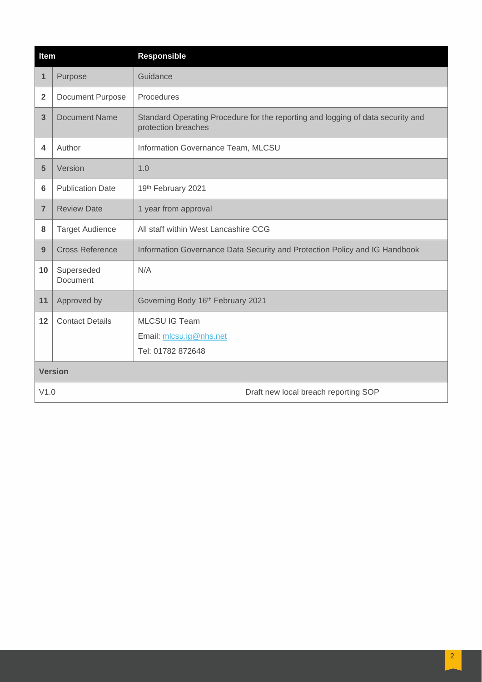| Item           |                         | <b>Responsible</b>                                                                                     |                                      |  |
|----------------|-------------------------|--------------------------------------------------------------------------------------------------------|--------------------------------------|--|
| 1              | Purpose                 | Guidance                                                                                               |                                      |  |
| $\overline{2}$ | <b>Document Purpose</b> | Procedures                                                                                             |                                      |  |
| 3              | <b>Document Name</b>    | Standard Operating Procedure for the reporting and logging of data security and<br>protection breaches |                                      |  |
| 4              | Author                  | Information Governance Team, MLCSU                                                                     |                                      |  |
| 5              | Version                 | 1.0                                                                                                    |                                      |  |
| 6              | <b>Publication Date</b> | 19th February 2021                                                                                     |                                      |  |
| $\overline{7}$ | <b>Review Date</b>      | 1 year from approval                                                                                   |                                      |  |
| 8              | <b>Target Audience</b>  | All staff within West Lancashire CCG                                                                   |                                      |  |
| 9              | <b>Cross Reference</b>  | Information Governance Data Security and Protection Policy and IG Handbook                             |                                      |  |
| 10             | Superseded<br>Document  | N/A                                                                                                    |                                      |  |
| 11             | Approved by             | Governing Body 16th February 2021                                                                      |                                      |  |
| 12             | <b>Contact Details</b>  | <b>MLCSU IG Team</b><br>Email: mlcsu.ig@nhs.net<br>Tel: 01782 872648                                   |                                      |  |
| <b>Version</b> |                         |                                                                                                        |                                      |  |
| V1.0           |                         |                                                                                                        | Draft new local breach reporting SOP |  |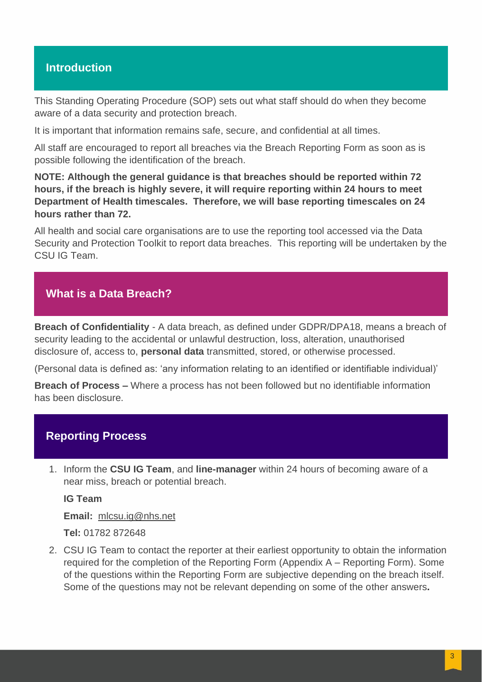## **Introduction**

This Standing Operating Procedure (SOP) sets out what staff should do when they become aware of a data security and protection breach.

It is important that information remains safe, secure, and confidential at all times.

All staff are encouraged to report all breaches via the Breach Reporting Form as soon as is possible following the identification of the breach.

**NOTE: Although the general guidance is that breaches should be reported within 72 hours, if the breach is highly severe, it will require reporting within 24 hours to meet Department of Health timescales. Therefore, we will base reporting timescales on 24 hours rather than 72.**

All health and social care organisations are to use the reporting tool accessed via the Data Security and Protection Toolkit to report data breaches. This reporting will be undertaken by the CSU IG Team.

# **What is a Data Breach?**

**Breach of Confidentiality** - A data breach, as defined under GDPR/DPA18, means a breach of security leading to the accidental or unlawful destruction, loss, alteration, unauthorised disclosure of, access to, **personal data** transmitted, stored, or otherwise processed.

(Personal data is defined as: 'any information relating to an identified or identifiable individual)'

**Breach of Process –** Where a process has not been followed but no identifiable information has been disclosure.

### **Reporting Process**

1. Inform the **CSU IG Team**, and **line-manager** within 24 hours of becoming aware of a near miss, breach or potential breach.

**IG Team** 

**Email:** [mlcsu.ig@nhs.net](mailto:mlcsu.ig@nhs.net)

**Tel:** 01782 872648

2. CSU IG Team to contact the reporter at their earliest opportunity to obtain the information required for the completion of the Reporting Form (Appendix A – Reporting Form). Some of the questions within the Reporting Form are subjective depending on the breach itself. Some of the questions may not be relevant depending on some of the other answers**.**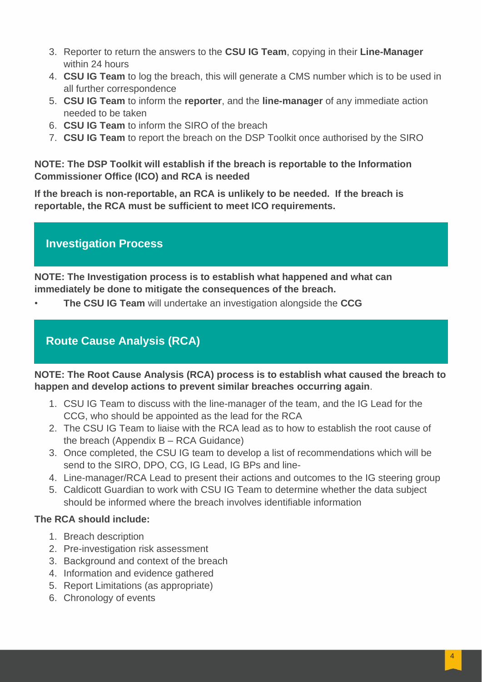- 3. Reporter to return the answers to the **CSU IG Team**, copying in their **Line-Manager** within 24 hours
- 4. **CSU IG Team** to log the breach, this will generate a CMS number which is to be used in all further correspondence
- 5. **CSU IG Team** to inform the **reporter**, and the **line-manager** of any immediate action needed to be taken
- 6. **CSU IG Team** to inform the SIRO of the breach
- 7. **CSU IG Team** to report the breach on the DSP Toolkit once authorised by the SIRO

#### **NOTE: The DSP Toolkit will establish if the breach is reportable to the Information Commissioner Office (ICO) and RCA is needed**

**If the breach is non-reportable, an RCA is unlikely to be needed. If the breach is reportable, the RCA must be sufficient to meet ICO requirements.**

# **Investigation Process**

**NOTE: The Investigation process is to establish what happened and what can immediately be done to mitigate the consequences of the breach.**

• **The CSU IG Team** will undertake an investigation alongside the **CCG**

# **Route Cause Analysis (RCA)**

**NOTE: The Root Cause Analysis (RCA) process is to establish what caused the breach to happen and develop actions to prevent similar breaches occurring again**.

- 1. CSU IG Team to discuss with the line-manager of the team, and the IG Lead for the CCG, who should be appointed as the lead for the RCA
- 2. The CSU IG Team to liaise with the RCA lead as to how to establish the root cause of the breach (Appendix B – RCA Guidance)
- 3. Once completed, the CSU IG team to develop a list of recommendations which will be send to the SIRO, DPO, CG, IG Lead, IG BPs and line-
- 4. Line-manager/RCA Lead to present their actions and outcomes to the IG steering group
- 5. Caldicott Guardian to work with CSU IG Team to determine whether the data subject should be informed where the breach involves identifiable information

# **The RCA should include:**

- 1. Breach description
- 2. Pre-investigation risk assessment
- 3. Background and context of the breach
- 4. Information and evidence gathered
- 5. Report Limitations (as appropriate)
- 6. Chronology of events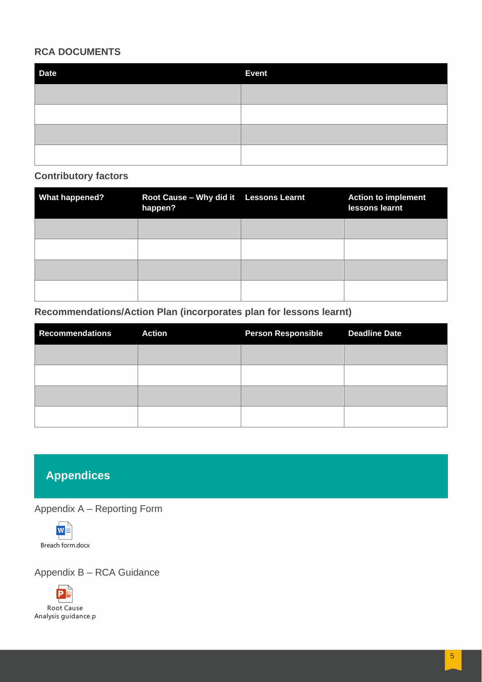#### **RCA DOCUMENTS**

| <b>Date</b> | <b>Event</b> |
|-------------|--------------|
|             |              |
|             |              |
|             |              |
|             |              |

#### **Contributory factors**

| <b>What happened?</b> | Root Cause - Why did it Lessons Learnt<br>happen? | <b>Action to implement</b><br>lessons learnt |
|-----------------------|---------------------------------------------------|----------------------------------------------|
|                       |                                                   |                                              |
|                       |                                                   |                                              |
|                       |                                                   |                                              |
|                       |                                                   |                                              |

#### **Recommendations/Action Plan (incorporates plan for lessons learnt)**

| <b>Recommendations</b> | <b>Action</b> | <b>Person Responsible</b> | <b>Deadline Date</b> |
|------------------------|---------------|---------------------------|----------------------|
|                        |               |                           |                      |
|                        |               |                           |                      |
|                        |               |                           |                      |
|                        |               |                           |                      |

# **Appendices**

Appendix A – Reporting Form



Appendix B – RCA Guidance